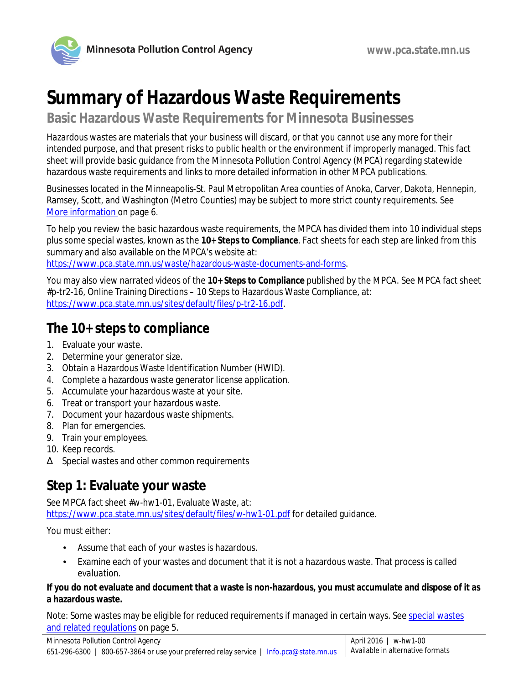

**Basic Hazardous Waste Requirements for Minnesota Businesses**

*Hazardous wastes* are materials that your business will discard, or that you cannot use any more for their intended purpose, and that present risks to public health or the environment if improperly managed. This fact sheet will provide basic guidance from the Minnesota Pollution Control Agency (MPCA) regarding statewide hazardous waste requirements and links to more detailed information in other MPCA publications.

Businesses located in the Minneapolis-St. Paul Metropolitan Area counties of Anoka, Carver, Dakota, Hennepin, Ramsey, Scott, and Washington (Metro Counties) may be subject to more strict county requirements. See [More information](#page-5-0) on page 6.

To help you review the basic hazardous waste requirements, the MPCA has divided them into 10 individual steps plus some special wastes, known as the **10+ Steps to Compliance**. Fact sheets for each step are linked from this summary and also available on the MPCA's website at: [https://www.pca.state.mn.us/waste/hazardous-waste-documents-and-forms.](https://www.pca.state.mn.us/waste/hazardous-waste-documents-and-forms)

You may also view narrated videos of the **10+ Steps to Compliance** published by the MPCA. See MPCA fact sheet #p-tr2-16, Online Training Directions – 10 Steps to Hazardous Waste Compliance, at: [https://www.pca.state.mn.us/sites/default/files/p-tr2-16.pdf.](https://www.pca.state.mn.us/sites/default/files/p-tr2-16.pdf)

### **The 10+ steps to compliance**

- 1. Evaluate your waste.
- 2. Determine your generator size.
- 3. Obtain a Hazardous Waste Identification Number (HWID).
- 4. Complete a hazardous waste generator license application.
- 5. Accumulate your hazardous waste at your site.
- 6. Treat or transport your hazardous waste.
- 7. Document your hazardous waste shipments.
- 8. Plan for emergencies.
- 9. Train your employees.
- 10. Keep records.
- Æ Special wastes and other common requirements

## **Step 1: Evaluate your waste**

See MPCA fact sheet #w-hw1-01, Evaluate Waste, at:

<https://www.pca.state.mn.us/sites/default/files/w-hw1-01.pdf> for detailed guidance.

You must either:

- Assume that each of your wastes is hazardous.
- Examine each of your wastes and document that it is not a hazardous waste. That process is called *evaluation*.

#### **If you do not evaluate and document that a waste is non-hazardous, you must accumulate and dispose of it as a hazardous waste.**

Note: Some wastes may be eligible for reduced requirements if managed in certain ways. See [special wastes](#page-4-0) and related regulations on page 5.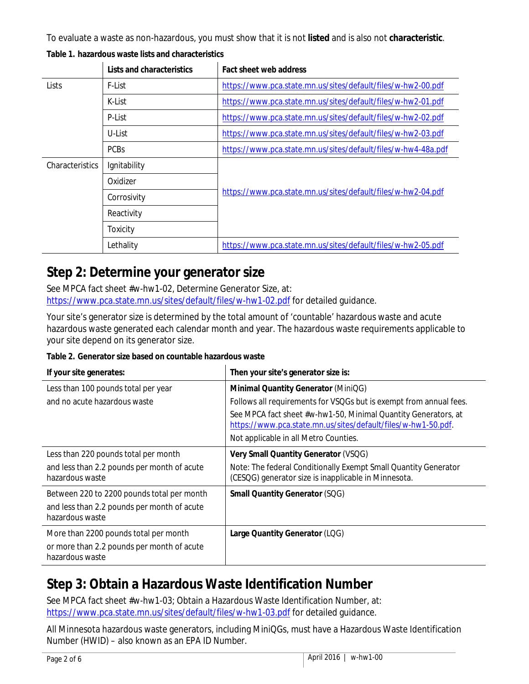To evaluate a waste as non-hazardous, you must show that it is not **listed** and is also not **characteristic**.

|                        | Lists and characteristics | Fact sheet web address                                        |
|------------------------|---------------------------|---------------------------------------------------------------|
| Lists                  | F-List                    | https://www.pca.state.mn.us/sites/default/files/w-hw2-00.pdf  |
|                        | K-List                    | https://www.pca.state.mn.us/sites/default/files/w-hw2-01.pdf  |
|                        | P-List                    | https://www.pca.state.mn.us/sites/default/files/w-hw2-02.pdf  |
|                        | U-List                    | https://www.pca.state.mn.us/sites/default/files/w-hw2-03.pdf  |
|                        | <b>PCBs</b>               | https://www.pca.state.mn.us/sites/default/files/w-hw4-48a.pdf |
| <b>Characteristics</b> | Ignitability              | https://www.pca.state.mn.us/sites/default/files/w-hw2-04.pdf  |
|                        | Oxidizer                  |                                                               |
|                        | Corrosivity               |                                                               |
|                        | Reactivity                |                                                               |
|                        | Toxicity                  |                                                               |
|                        | Lethality                 | https://www.pca.state.mn.us/sites/default/files/w-hw2-05.pdf  |

**Table 1. hazardous waste lists and characteristics**

### **Step 2: Determine your generator size**

See MPCA fact sheet #w-hw1-02, Determine Generator Size, at: <https://www.pca.state.mn.us/sites/default/files/w-hw1-02.pdf> for detailed guidance.

Your site's generator size is determined by the total amount of 'countable' hazardous waste and acute hazardous waste generated each calendar month and year. The hazardous waste requirements applicable to your site depend on its generator size.

**Table 2. Generator size based on countable hazardous waste**

| If your site generates:                                        | Then your site's generator size is:                                                                                             |
|----------------------------------------------------------------|---------------------------------------------------------------------------------------------------------------------------------|
| Less than 100 pounds total per year                            | Minimal Quantity Generator (MiniQG)                                                                                             |
| and no acute hazardous waste                                   | Follows all requirements for VSQGs but is exempt from annual fees.                                                              |
|                                                                | See MPCA fact sheet #w-hw1-50, Minimal Quantity Generators, at<br>https://www.pca.state.mn.us/sites/default/files/w-hw1-50.pdf. |
|                                                                | Not applicable in all Metro Counties.                                                                                           |
| Less than 220 pounds total per month                           | Very Small Quantity Generator (VSQG)                                                                                            |
| and less than 2.2 pounds per month of acute<br>hazardous waste | Note: The federal Conditionally Exempt Small Quantity Generator<br>(CESQG) generator size is inapplicable in Minnesota.         |
| Between 220 to 2200 pounds total per month                     | <b>Small Quantity Generator (SQG)</b>                                                                                           |
| and less than 2.2 pounds per month of acute<br>hazardous waste |                                                                                                                                 |
| More than 2200 pounds total per month                          | Large Quantity Generator (LQG)                                                                                                  |
| or more than 2.2 pounds per month of acute<br>hazardous waste  |                                                                                                                                 |

# **Step 3: Obtain a Hazardous Waste Identification Number**

See MPCA fact sheet #w-hw1-03; Obtain a Hazardous Waste Identification Number, at: <https://www.pca.state.mn.us/sites/default/files/w-hw1-03.pdf> for detailed guidance.

All Minnesota hazardous waste generators, including MiniQGs, must have a Hazardous Waste Identification Number (HWID) – also known as an *EPA ID Number*.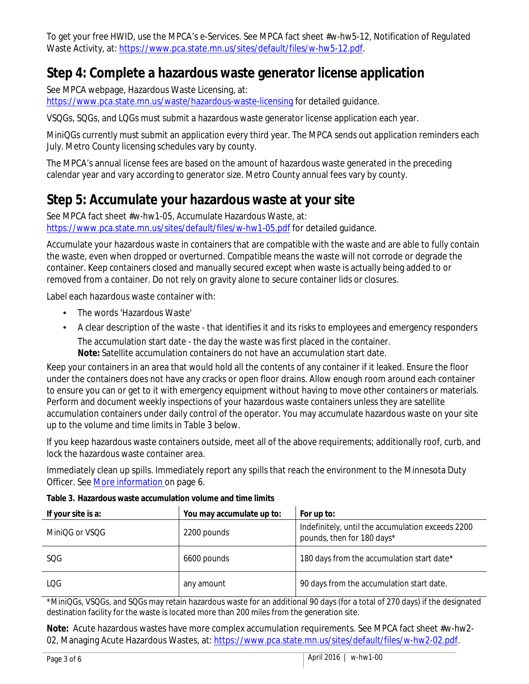To get your free HWID, use the MPCA's e-Services. See MPCA fact sheet #w-hw5-12, Notification of Regulated Waste Activity, at: [https://www.pca.state.mn.us/sites/default/files/w-hw5-12.pdf.](https://www.pca.state.mn.us/sites/default/files/w-hw5-12.pdf)

### **Step 4: Complete a hazardous waste generator license application**

See MPCA webpage, Hazardous Waste Licensing, at:

<https://www.pca.state.mn.us/waste/hazardous-waste-licensing> for detailed guidance.

VSQGs, SQGs, and LQGs must submit a hazardous waste generator license application each year.

MiniQGs currently must submit an application every third year. The MPCA sends out application reminders each July. Metro County licensing schedules vary by county.

The MPCA's annual license fees are based on the amount of hazardous waste generated in the preceding calendar year and vary according to generator size. Metro County annual fees vary by county.

# **Step 5: Accumulate your hazardous waste at your site**

See MPCA fact sheet #w-hw1-05, Accumulate Hazardous Waste, at: <https://www.pca.state.mn.us/sites/default/files/w-hw1-05.pdf> for detailed guidance.

Accumulate your hazardous waste in containers that are compatible with the waste and are able to fully contain the waste, even when dropped or overturned. *Compatible* means the waste will not corrode or degrade the container. Keep containers closed and manually secured except when waste is actually being added to or removed from a container. Do not rely on gravity alone to secure container lids or closures.

Label each hazardous waste container with:

- The words 'Hazardous Waste'
- A clear description of the waste that identifies it and its risks to employees and emergency responders The accumulation start date - the day the waste was first placed in the container. **Note:** Satellite accumulation containers do not have an accumulation start date.

Keep your containers in an area that would hold all the contents of any container if it leaked. Ensure the floor under the containers does not have any cracks or open floor drains. Allow enough room around each container to ensure you can or get to it with emergency equipment without having to move other containers or materials. Perform and document weekly inspections of your hazardous waste containers unless they are satellite accumulation containers under daily control of the operator. You may accumulate hazardous waste on your site up to the volume and time limits in Table 3 below.

If you keep hazardous waste containers outside, meet all of the above requirements; additionally roof, curb, and lock the hazardous waste container area.

Immediately clean up spills. Immediately report any spills that reach the environment to the Minnesota Duty Officer. See [More information o](#page-5-0)n page 6.

| If your site is a: | You may accumulate up to: | For up to:                                                                      |
|--------------------|---------------------------|---------------------------------------------------------------------------------|
| MiniQG or VSQG     | 2200 pounds               | Indefinitely, until the accumulation exceeds 2200<br>pounds, then for 180 days* |
| <b>SOG</b>         | 6600 pounds               | 180 days from the accumulation start date*                                      |
| LOG.               | any amount                | 90 days from the accumulation start date.                                       |

**Table 3. Hazardous waste accumulation volume and time limits**

\*MiniQGs, VSQGs, and SQGs may retain hazardous waste for an additional 90 days (for a total of 270 days) if the designated destination facility for the waste is located more than 200 miles from the generation site.

**Note:** Acute hazardous wastes have more complex accumulation requirements. See MPCA fact sheet #w-hw2- 02, Managing Acute Hazardous Wastes, at: [https://www.pca.state.mn.us/sites/default/files/w-hw2-02.pdf.](https://www.pca.state.mn.us/sites/default/files/w-hw2-02.pdf)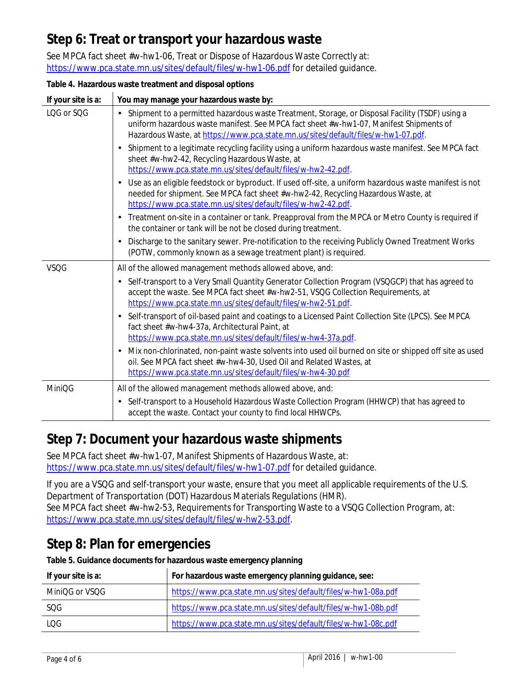## **Step 6: Treat or transport your hazardous waste**

See MPCA fact sheet #w-hw1-06, Treat or Dispose of Hazardous Waste Correctly at: <https://www.pca.state.mn.us/sites/default/files/w-hw1-06.pdf> for detailed guidance.

#### **Table 4. Hazardous waste treatment and disposal options**

| If your site is a: | You may manage your hazardous waste by:                                                                                                                                                                                                                                        |
|--------------------|--------------------------------------------------------------------------------------------------------------------------------------------------------------------------------------------------------------------------------------------------------------------------------|
| LQG or SQG         | Shipment to a permitted hazardous waste Treatment, Storage, or Disposal Facility (TSDF) using a<br>uniform hazardous waste manifest. See MPCA fact sheet #w-hw1-07, Manifest Shipments of<br>Hazardous Waste, at https://www.pca.state.mn.us/sites/default/files/w-hw1-07.pdf. |
|                    | Shipment to a legitimate recycling facility using a uniform hazardous waste manifest. See MPCA fact<br>sheet #w-hw2-42, Recycling Hazardous Waste, at<br>https://www.pca.state.mn.us/sites/default/files/w-hw2-42.pdf.                                                         |
|                    | Use as an eligible feedstock or byproduct. If used off-site, a uniform hazardous waste manifest is not<br>needed for shipment. See MPCA fact sheet #w-hw2-42, Recycling Hazardous Waste, at<br>https://www.pca.state.mn.us/sites/default/files/w-hw2-42.pdf.                   |
|                    | Treatment on-site in a container or tank. Preapproval from the MPCA or Metro County is required if<br>the container or tank will be not be closed during treatment.                                                                                                            |
|                    | Discharge to the sanitary sewer. Pre-notification to the receiving Publicly Owned Treatment Works<br>(POTW, commonly known as a sewage treatment plant) is required.                                                                                                           |
| <b>VSQG</b>        | All of the allowed management methods allowed above, and:                                                                                                                                                                                                                      |
|                    | Self-transport to a Very Small Quantity Generator Collection Program (VSQGCP) that has agreed to<br>accept the waste. See MPCA fact sheet #w-hw2-51, VSQG Collection Requirements, at<br>https://www.pca.state.mn.us/sites/default/files/w-hw2-51.pdf.                         |
|                    | Self-transport of oil-based paint and coatings to a Licensed Paint Collection Site (LPCS). See MPCA<br>fact sheet #w-hw4-37a, Architectural Paint, at<br>https://www.pca.state.mn.us/sites/default/files/w-hw4-37a.pdf.                                                        |
|                    | Mix non-chlorinated, non-paint waste solvents into used oil burned on site or shipped off site as used<br>oil. See MPCA fact sheet #w-hw4-30, Used Oil and Related Wastes, at<br>https://www.pca.state.mn.us/sites/default/files/w-hw4-30.pdf                                  |
| <b>MiniQG</b>      | All of the allowed management methods allowed above, and:                                                                                                                                                                                                                      |
|                    | Self-transport to a Household Hazardous Waste Collection Program (HHWCP) that has agreed to<br>$\bullet$<br>accept the waste. Contact your county to find local HHWCPs.                                                                                                        |

### **Step 7: Document your hazardous waste shipments**

See MPCA fact sheet #w-hw1-07, Manifest Shipments of Hazardous Waste, at: <https://www.pca.state.mn.us/sites/default/files/w-hw1-07.pdf> for detailed guidance.

If you are a VSQG and self-transport your waste, ensure that you meet all applicable requirements of the U.S. Department of Transportation (DOT) Hazardous Materials Regulations (HMR). See MPCA fact sheet #w-hw2-53, Requirements for Transporting Waste to a VSQG Collection Program, at: [https://www.pca.state.mn.us/sites/default/files/w-hw2-53.pdf.](https://www.pca.state.mn.us/sites/default/files/w-hw2-53.pdf)

### **Step 8: Plan for emergencies**

**Table 5. Guidance documents for hazardous waste emergency planning**

| If your site is a: | For hazardous waste emergency planning guidance, see:         |
|--------------------|---------------------------------------------------------------|
| MiniOG or VSOG     | https://www.pca.state.mn.us/sites/default/files/w-hw1-08a.pdf |
| SOG.               | https://www.pca.state.mn.us/sites/default/files/w-hw1-08b.pdf |
| LOG.               | https://www.pca.state.mn.us/sites/default/files/w-hw1-08c.pdf |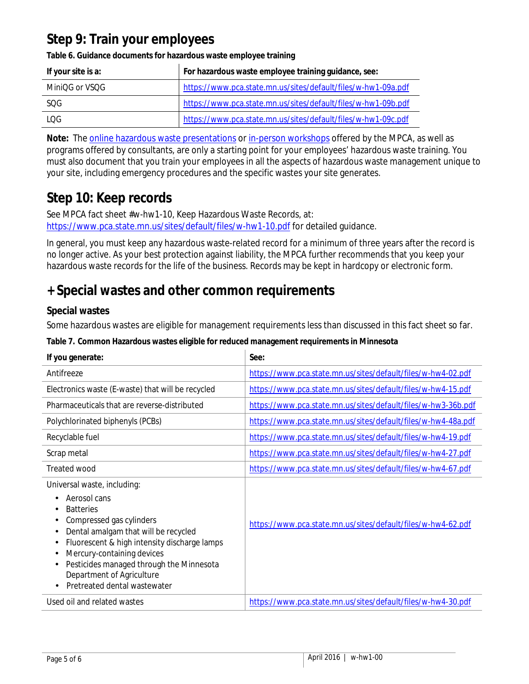## **Step 9: Train your employees**

| If your site is a: | For hazardous waste employee training guidance, see:          |
|--------------------|---------------------------------------------------------------|
| MiniOG or VSOG     | https://www.pca.state.mn.us/sites/default/files/w-hw1-09a.pdf |
| SQG                | https://www.pca.state.mn.us/sites/default/files/w-hw1-09b.pdf |
| LOG.               | https://www.pca.state.mn.us/sites/default/files/w-hw1-09c.pdf |

**Table 6. Guidance documents for hazardous waste employee training**

**Note:** Th[e online hazardous waste presentations](https://www.pca.state.mn.us/sites/default/files/p-tr2-16.pdf) or [in-person workshops](https://www.pca.state.mn.us/sites/default/files/p-tr2-15.pdf) offered by the MPCA, as well as programs offered by consultants, are only a starting point for your employees' hazardous waste training. You must also document that you train your employees in all the aspects of hazardous waste management unique to your site, including emergency procedures and the specific wastes your site generates.

## **Step 10: Keep records**

See MPCA fact sheet #w-hw1-10, Keep Hazardous Waste Records, at: <https://www.pca.state.mn.us/sites/default/files/w-hw1-10.pdf> for detailed guidance.

In general, you must keep any hazardous waste-related record for a minimum of three years after the record is no longer active. As your best protection against liability, the MPCA further recommends that you keep your hazardous waste records for the life of the business. Records may be kept in hardcopy or electronic form.

## **+ Special wastes and other common requirements**

### <span id="page-4-0"></span>**Special wastes**

Some hazardous wastes are eligible for management requirements less than discussed in this fact sheet so far.

#### **Table 7. Common Hazardous wastes eligible for reduced management requirements in Minnesota**

| If you generate:                                                                                                                                                                                                                                                                                                                                                 | See:                                                          |
|------------------------------------------------------------------------------------------------------------------------------------------------------------------------------------------------------------------------------------------------------------------------------------------------------------------------------------------------------------------|---------------------------------------------------------------|
| Antifreeze                                                                                                                                                                                                                                                                                                                                                       | https://www.pca.state.mn.us/sites/default/files/w-hw4-02.pdf  |
| Electronics waste (E-waste) that will be recycled                                                                                                                                                                                                                                                                                                                | https://www.pca.state.mn.us/sites/default/files/w-hw4-15.pdf  |
| Pharmaceuticals that are reverse-distributed                                                                                                                                                                                                                                                                                                                     | https://www.pca.state.mn.us/sites/default/files/w-hw3-36b.pdf |
| Polychlorinated biphenyls (PCBs)                                                                                                                                                                                                                                                                                                                                 | https://www.pca.state.mn.us/sites/default/files/w-hw4-48a.pdf |
| Recyclable fuel                                                                                                                                                                                                                                                                                                                                                  | https://www.pca.state.mn.us/sites/default/files/w-hw4-19.pdf  |
| Scrap metal                                                                                                                                                                                                                                                                                                                                                      | https://www.pca.state.mn.us/sites/default/files/w-hw4-27.pdf  |
| Treated wood                                                                                                                                                                                                                                                                                                                                                     | https://www.pca.state.mn.us/sites/default/files/w-hw4-67.pdf  |
| Universal waste, including:<br>Aerosol cans<br><b>Batteries</b><br>٠<br>Compressed gas cylinders<br>٠<br>Dental amalgam that will be recycled<br>٠<br>Fluorescent & high intensity discharge lamps<br>Mercury-containing devices<br>Pesticides managed through the Minnesota<br>٠<br>Department of Agriculture<br>Pretreated dental wastewater<br>$\blacksquare$ | https://www.pca.state.mn.us/sites/default/files/w-hw4-62.pdf  |
| Used oil and related wastes                                                                                                                                                                                                                                                                                                                                      | https://www.pca.state.mn.us/sites/default/files/w-hw4-30.pdf  |